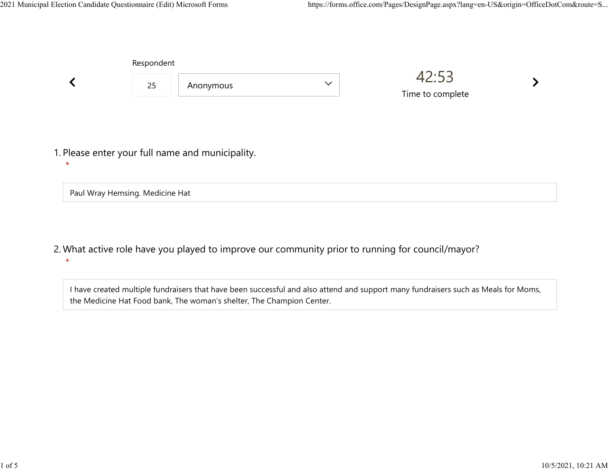|         | Respondent                      |                                                  |              |                           |  |  |
|---------|---------------------------------|--------------------------------------------------|--------------|---------------------------|--|--|
|         | 25                              | Anonymous                                        | $\checkmark$ | 42:53<br>Time to complete |  |  |
| $\star$ |                                 | 1. Please enter your full name and municipality. |              |                           |  |  |
|         | Paul Wray Hemsing. Medicine Hat |                                                  |              |                           |  |  |

What active role have you played to improve our community prior to running for council/mayor? 2.  $\star$ 

I have created multiple fundraisers that have been successful and also attend and support many fundraisers such as Meals for Moms, the Medicine Hat Food bank, The woman's shelter, The Champion Center.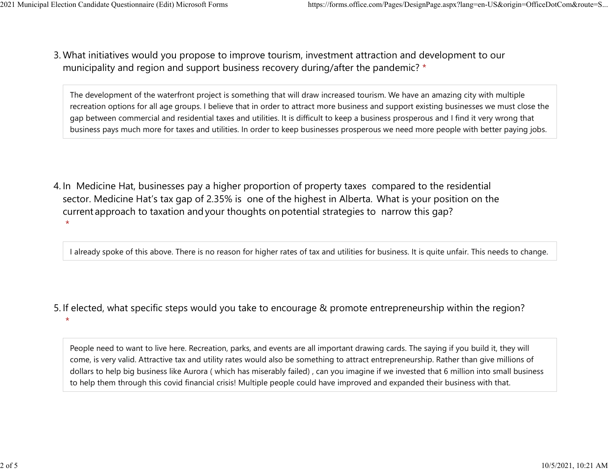What initiatives would you propose to improve tourism, investment attraction and development to our 3. municipality and region and support business recovery during/after the pandemic? \* 2021 Municipal Election Candidate Questionnaire (Edit) Microsoft Forms https://forms.office.com/Pages/DesignPage.aspx?lang=en-US&origin=OfficeDotCom&route=S...<br>2 Mhat initiatives would you propose to improve tourism invest

> The development of the waterfront project is something that will draw increased tourism. We have an amazing city with multiple recreation options for all age groups. I believe that in order to attract more business and support existing businesses we must close the gap between commercial and residential taxes and utilities. It is difficult to keep a business prosperous and I find it very wrong that business pays much more for taxes and utilities. In order to keep businesses prosperous we need more people with better paying jobs.

4. In Medicine Hat, businesses pay a higher proportion of property taxes compared to the residential sector.  Medicine Hat's tax gap of 2.35% is one of the highest in Alberta.  What is your position on the current approach to taxation and your thoughts on potential strategies to narrow this gap?  $\star$ 

I already spoke of this above. There is no reason for higher rates of tax and utilities for business. It is quite unfair. This needs to change.

5. If elected, what specific steps would you take to encourage & promote entrepreneurship within the region?

People need to want to live here. Recreation, parks, and events are all important drawing cards. The saying if you build it, they will come, is very valid. Attractive tax and utility rates would also be something to attract entrepreneurship. Rather than give millions of dollars to help big business like Aurora ( which has miserably failed) , can you imagine if we invested that 6 million into small business to help them through this covid financial crisis! Multiple people could have improved and expanded their business with that.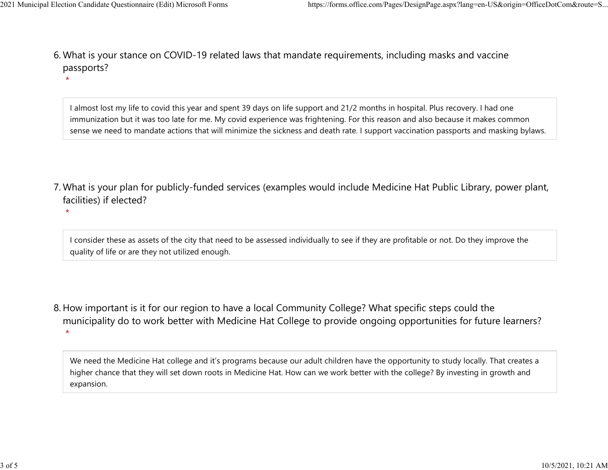$\star$ 

What is your stance on COVID-19 related laws that mandate requirements, including masks and vaccine 6. passports? 2021 Municipal Election Candidate Questionnaire (Edit) Microsoft Forms https://forms.office.com/Pages/DesignPage.aspx?lang=en-US&origin=OfficeDotCom&route=S...<br>6 Mhat is vour stance on COVID-19 related laws that mandate re

> I almost lost my life to covid this year and spent 39 days on life support and 21/2 months in hospital. Plus recovery. I had one immunization but it was too late for me. My covid experience was frightening. For this reason and also because it makes common sense we need to mandate actions that will minimize the sickness and death rate. I support vaccination passports and masking bylaws.

- What is your plan for publicly-funded services (examples would include Medicine Hat Public Library, power plant, 7. facilities) if elected?
	- I consider these as assets of the city that need to be assessed individually to see if they are profitable or not. Do they improve the quality of life or are they not utilized enough.
- 8. How important is it for our region to have a local Community College? What specific steps could the municipality do to work better with Medicine Hat College to provide ongoing opportunities for future learners?  $\star$

We need the Medicine Hat college and it's programs because our adult children have the opportunity to study locally. That creates a higher chance that they will set down roots in Medicine Hat. How can we work better with the college? By investing in growth and expansion.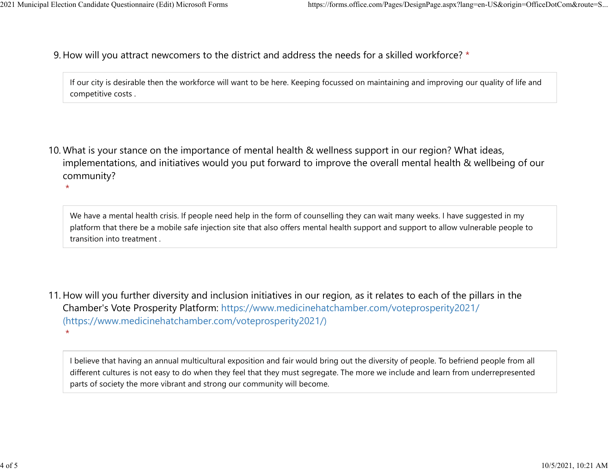9. How will you attract newcomers to the district and address the needs for a skilled workforce? \* 2021 Municipal Election Candidate Questionnaire (Edit) Microsoft Forms https://forms.office.com/Pages/DesignPage.aspx?lang=en-US&origin=OfficeDotCom&route=S...<br>Q How will you attract newcomers to the district and address t

> If our city is desirable then the workforce will want to be here. Keeping focussed on maintaining and improving our quality of life and competitive costs .

10. What is your stance on the importance of mental health & wellness support in our region? What ideas, implementations, and initiatives would you put forward to improve the overall mental health & wellbeing of our community?

We have a mental health crisis. If people need help in the form of counselling they can wait many weeks. I have suggested in my platform that there be a mobile safe injection site that also offers mental health support and support to allow vulnerable people to transition into treatment .

11. How will you further diversity and inclusion initiatives in our region, as it relates to each of the pillars in the Chamber's Vote Prosperity Platform: https://www.medicinehatchamber.com/voteprosperity2021/ (https://www.medicinehatchamber.com/voteprosperity2021/)  $\star$ 

I believe that having an annual multicultural exposition and fair would bring out the diversity of people. To befriend people from all different cultures is not easy to do when they feel that they must segregate. The more we include and learn from underrepresented parts of society the more vibrant and strong our community will become.